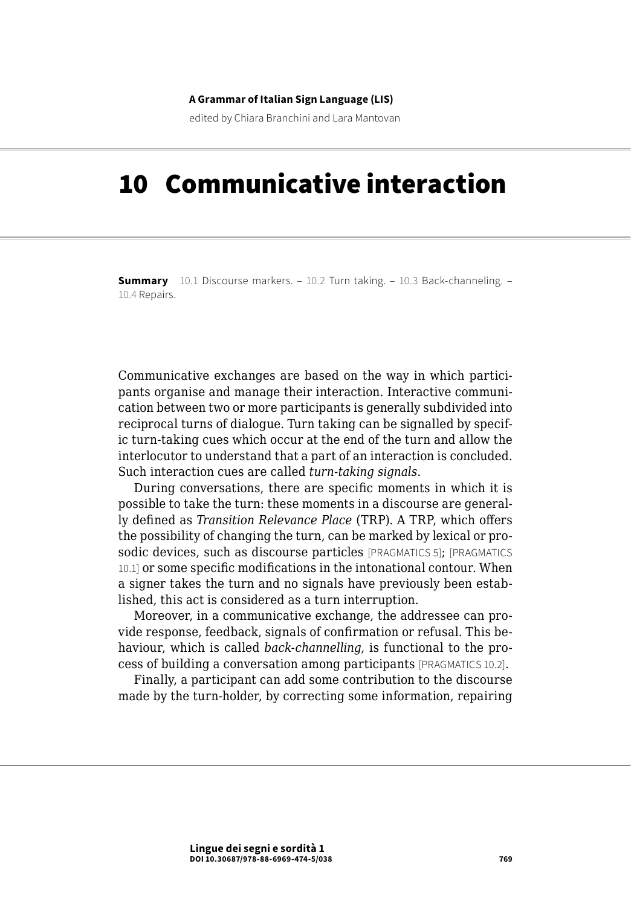#### **A Grammar of Italian Sign Language (LIS)**

edited by Chiara Branchini and Lara Mantovan

# 10 Communicative interaction

**Summary** [10.1 Discourse markers](#page-1-0). – [10.2 Turn taking.](#page-1-0) – [10.3 Back-channeling](#page-7-0). – [10.4 Repairs.](#page-8-0)

Communicative exchanges are based on the way in which participants organise and manage their interaction. Interactive communication between two or more participants is generally subdivided into reciprocal turns of dialogue. Turn taking can be signalled by specific turn-taking cues which occur at the end of the turn and allow the interlocutor to understand that a part of an interaction is concluded. Such interaction cues are called *turn-taking signals*.

During conversations, there are specific moments in which it is possible to take the turn: these moments in a discourse are generally defined as *Transition Relevance Place* (TRP). A TRP, which offers the possibility of changing the turn, can be marked by lexical or prosodic devices, such as discourse particles [PRAGMATICS 5]; [PRAGMATICS 10.1] or some specific modifications in the intonational contour. When a signer takes the turn and no signals have previously been established, this act is considered as a turn interruption.

Moreover, in a communicative exchange, the addressee can provide response, feedback, signals of confirmation or refusal. This behaviour, which is called *back-channelling*, is functional to the process of building a conversation among participants [PRAGMATICS 10.2].

Finally, a participant can add some contribution to the discourse made by the turn-holder, by correcting some information, repairing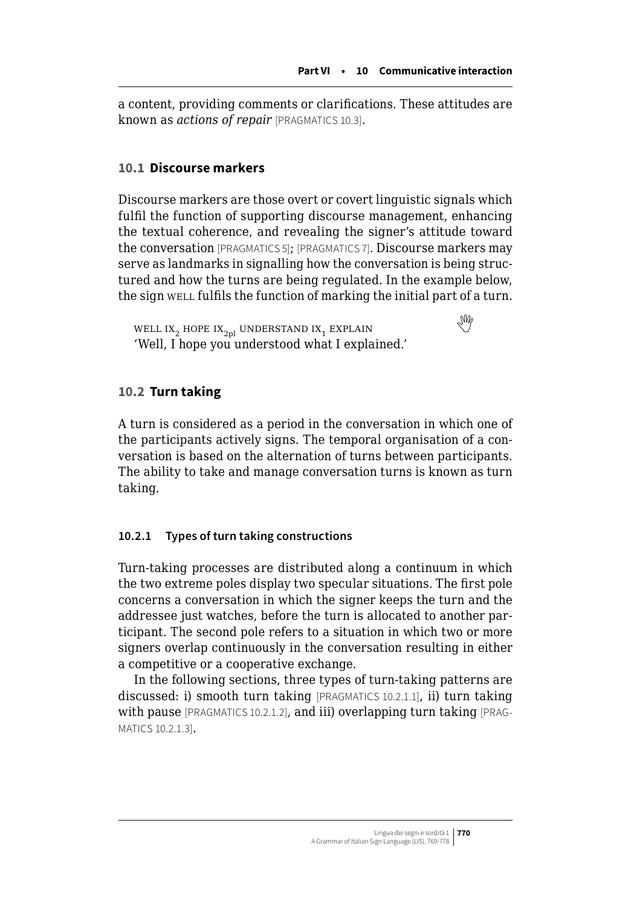<span id="page-1-0"></span>a content, providing comments or clarifications. These attitudes are known as *actions of repair* [PRAGMATICS 10.3].

# **10.1 Discourse markers**

Discourse markers are those overt or covert linguistic signals which fulfil the function of supporting discourse management, enhancing the textual coherence, and revealing the signer's attitude toward the conversation [PRAGMATICS 5]; [PRAGMATICS 7]. Discourse markers may serve as landmarks in signalling how the conversation is being structured and how the turns are being regulated. In the example below, the sign well fulfils the function of marking the initial part of a turn.

WELL IX<sub>2</sub> HOPE IX<sub>2pl</sub> UNDERSTAND IX<sub>1</sub> EXPLAIN 'Well, I hope you understood what I explained.'

# **10.2 Turn taking**

A turn is considered as a period in the conversation in which one of the participants actively signs. The temporal organisation of a conversation is based on the alternation of turns between participants. The ability to take and manage conversation turns is known as turn taking.

# **10.2.1 Types of turn taking constructions**

Turn-taking processes are distributed along a continuum in which the two extreme poles display two specular situations. The first pole concerns a conversation in which the signer keeps the turn and the addressee just watches, before the turn is allocated to another participant. The second pole refers to a situation in which two or more signers overlap continuously in the conversation resulting in either a competitive or a cooperative exchange.

In the following sections, three types of turn-taking patterns are discussed: i) smooth turn taking [PRAGMATICS 10.2.1.1], ii) turn taking with pause [PRAGMATICS 10.2.1.2], and iii) overlapping turn taking [PRAG-MATICS 10.2.1.3].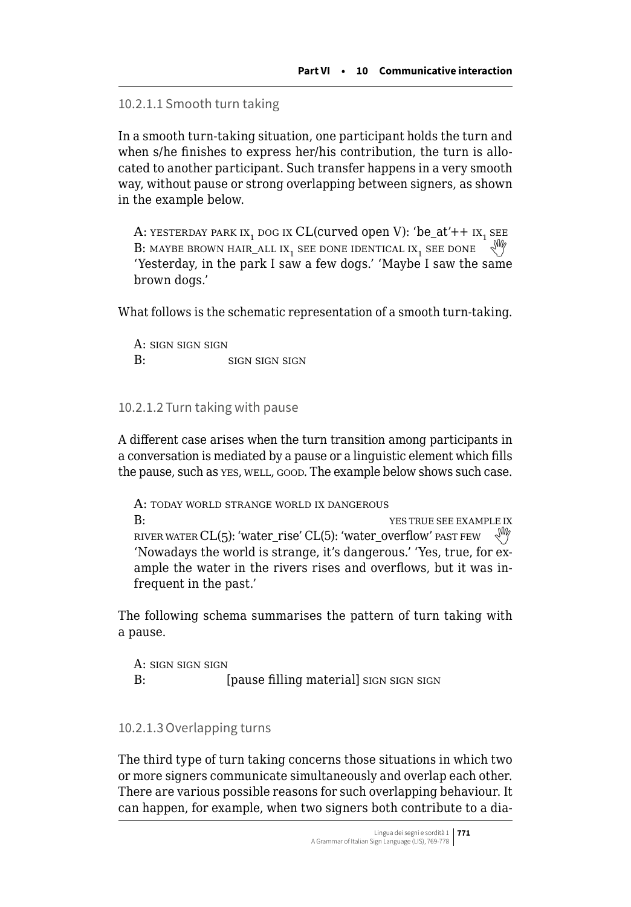```
10.2.1.1 Smooth turn taking
```
In a smooth turn-taking situation, one participant holds the turn and when s/he finishes to express her/his contribution, the turn is allocated to another participant. Such transfer happens in a very smooth way, without pause or strong overlapping between signers, as shown in the example below.

A: YESTERDAY PARK IX<sub>1</sub> DOG IX CL(curved open V): 'be\_at'++  $IX_1$  SEE B: MAYBE BROWN HAIR\_ALL IX<sub>1</sub> SEE DONE IDENTICAL IX<sub>1</sub> SEE DONE 'Yesterday, in the park I saw a few dogs.' 'Maybe I saw the same brown dogs.'

What follows is the schematic representation of a smooth turn-taking.

A: sign sign sign B: SIGN SIGN SIGN SIGN

10.2.1.2 Turn taking with pause

A different case arises when the turn transition among participants in a conversation is mediated by a pause or a linguistic element which fills the pause, such as yes, well, good. The example below shows such case.

A: today world strange world ix dangerous B: See EXAMPLE IX RIVER WATER CL(5): 'water\_rise' CL(5): 'water\_overflow' past FEW 'Nowadays the world is strange, it's dangerous.' 'Yes, true, for example the water in the rivers rises and overflows, but it was infrequent in the past.'

The following schema summarises the pattern of turn taking with a pause.

A: sign sign sign B: [pause filling material] sign sign sign

# 10.2.1.3Overlapping turns

The third type of turn taking concerns those situations in which two or more signers communicate simultaneously and overlap each other. There are various possible reasons for such overlapping behaviour. It can happen, for example, when two signers both contribute to a dia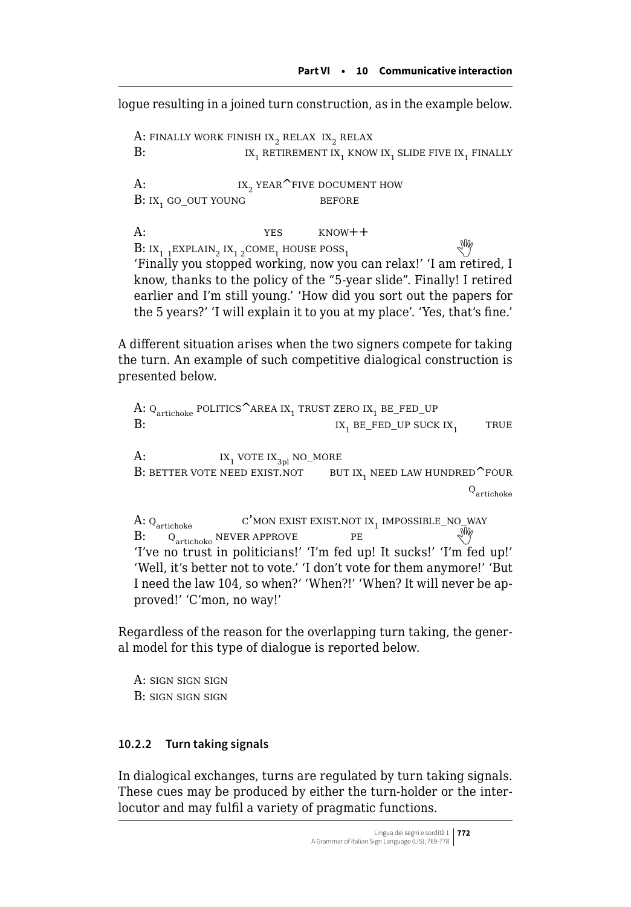logue resulting in a joined turn construction, as in the example below.

A: FINALLY WORK FINISH IX<sub>2</sub> RELAX IX<sub>2</sub> RELAX **B**: **IXALLY** IX. RETIREMENT IX. KNOW IX<sub>1</sub> RETIREMENT IX<sub>1</sub> KNOW IX<sub>1</sub> SLIDE FIVE IX<sub>1</sub> FINALLY A:  $1 \times 2$  year^five document how<br>B: ix. go out young BEFORE  $B: IX$ , go out young  $A:$   $YES$   $KNOW++$ B: $IX_{1}$  1EXPLAIN<sub>2</sub> IX<sub>12</sub>COME<sub>1</sub> HOUSE POSS<sub>1</sub> 'Finally you stopped working, now you can relax!' 'I am retired, I know, thanks to the policy of the "5-year slide". Finally! I retired earlier and I'm still young.' 'How did you sort out the papers for the 5 years?' 'I will explain it to you at my place'. 'Yes, that's fine.'

A different situation arises when the two signers compete for taking the turn. An example of such competitive dialogical construction is presented below.

A:  $Q_{\text{article}}$  politics  $\text{Area}$  ix<sub>1</sub> trust zero ix<sub>1</sub> be\_fed\_up  $IX<sub>1</sub> BE_FED_UP SUCK IX<sub>1</sub>$  TRUE A:  $1x_1$  vote  $1x_{3p1}$  no\_more<br>B: better vote need exist.not but ix, need law hundred  $\sim$  four B: better vote need exist.not  $Q_{\text{article}}$ A:  $Q_{\text{artichole}}$  c'mon exist exist.not ix<sub>1</sub> impossible\_no\_way B:Q<sub>artichoke</sub> NEVER APPROVE PE 'I've no trust in politicians!' 'I'm fed up! It sucks!' 'I'm fed up!' 'Well, it's better not to vote.' 'I don't vote for them anymore!' 'But I need the law 104, so when?' 'When?!' 'When? It will never be ap-

Regardless of the reason for the overlapping turn taking, the general model for this type of dialogue is reported below.

A: sign sign sign B: sign sign sign

proved!' 'C'mon, no way!'

# **10.2.2 Turn taking signals**

In dialogical exchanges, turns are regulated by turn taking signals. These cues may be produced by either the turn-holder or the interlocutor and may fulfil a variety of pragmatic functions.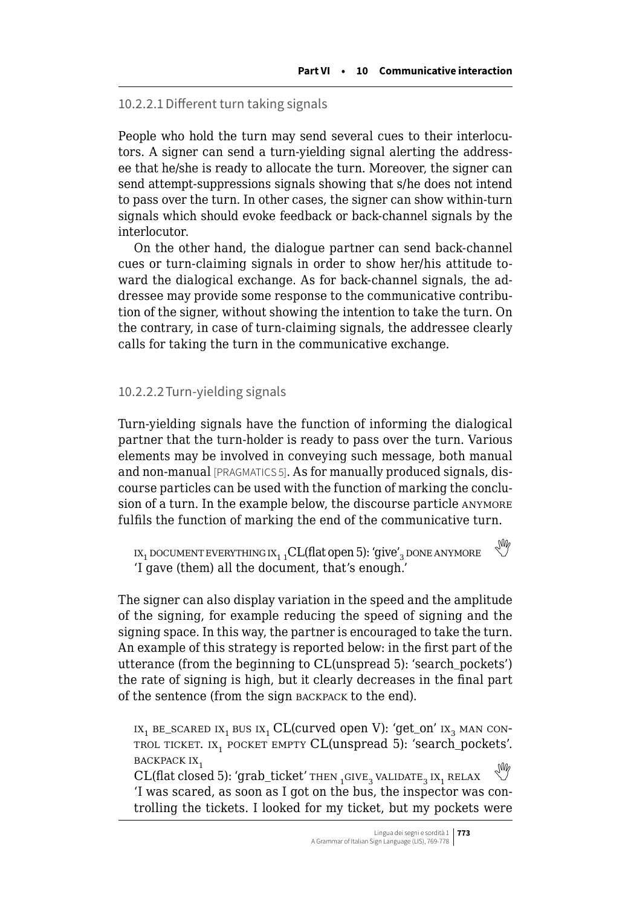### 10.2.2.1Different turn taking signals

People who hold the turn may send several cues to their interlocutors. A signer can send a turn-yielding signal alerting the addressee that he/she is ready to allocate the turn. Moreover, the signer can send attempt-suppressions signals showing that s/he does not intend to pass over the turn. In other cases, the signer can show within-turn signals which should evoke feedback or back-channel signals by the interlocutor.

On the other hand, the dialogue partner can send back-channel cues or turn-claiming signals in order to show her/his attitude toward the dialogical exchange. As for back-channel signals, the addressee may provide some response to the communicative contribution of the signer, without showing the intention to take the turn. On the contrary, in case of turn-claiming signals, the addressee clearly calls for taking the turn in the communicative exchange.

#### 10.2.2.2Turn-yielding signals

Turn-yielding signals have the function of informing the dialogical partner that the turn-holder is ready to pass over the turn. Various elements may be involved in conveying such message, both manual and non-manual [PRAGMATICS 5]. As for manually produced signals, discourse particles can be used with the function of marking the conclusion of a turn. In the example below, the discourse particle ANYMORE fulfils the function of marking the end of the communicative turn.

```
IX<sub>1</sub> document everything IX<sub>1</sub>, CL(flat open 5): 'give'<sub>3</sub> done anymore
'I gave (them) all the document, that's enough.'
```
The signer can also display variation in the speed and the amplitude of the signing, for example reducing the speed of signing and the signing space. In this way, the partner is encouraged to take the turn. An example of this strategy is reported below: in the first part of the utterance (from the beginning to CL(unspread 5): 'search\_pockets') the rate of signing is high, but it clearly decreases in the final part of the sentence (from the sign backpack to the end).

 $IX_1$  be\_scared  $IX_1$  bus  $IX_1$  CL(curved open V): 'get\_on'  $IX_2$  man con-TROL TICKET. IX<sub>1</sub> POCKET EMPTY CL(unspread 5): 'search\_pockets'. BACKPACK IX,

 $CL(flat closed 5): 'graph\_ticket' THEN _{1}GIVE_{2}$  validate<sub>2</sub> ix<sub>1</sub> relax 'I was scared, as soon as I got on the bus, the inspector was controlling the tickets. I looked for my ticket, but my pockets were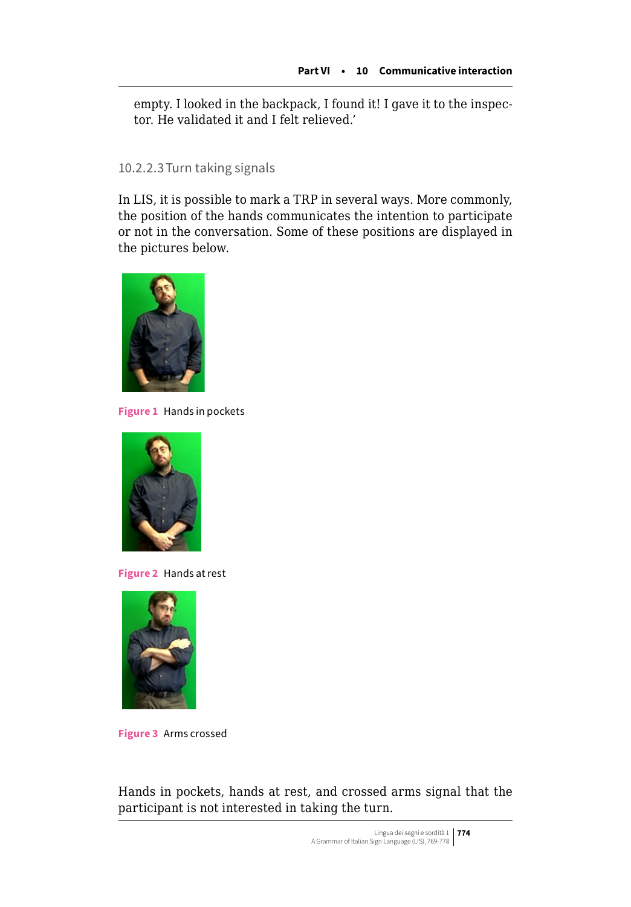empty. I looked in the backpack, I found it! I gave it to the inspector. He validated it and I felt relieved.'

10.2.2.3Turn taking signals

In LIS, it is possible to mark a TRP in several ways. More commonly, the position of the hands communicates the intention to participate or not in the conversation. Some of these positions are displayed in the pictures below.



**Figure 1** Hands in pockets



**Figure 2** Hands at rest



**Figure 3** Arms crossed

Hands in pockets, hands at rest, and crossed arms signal that the participant is not interested in taking the turn.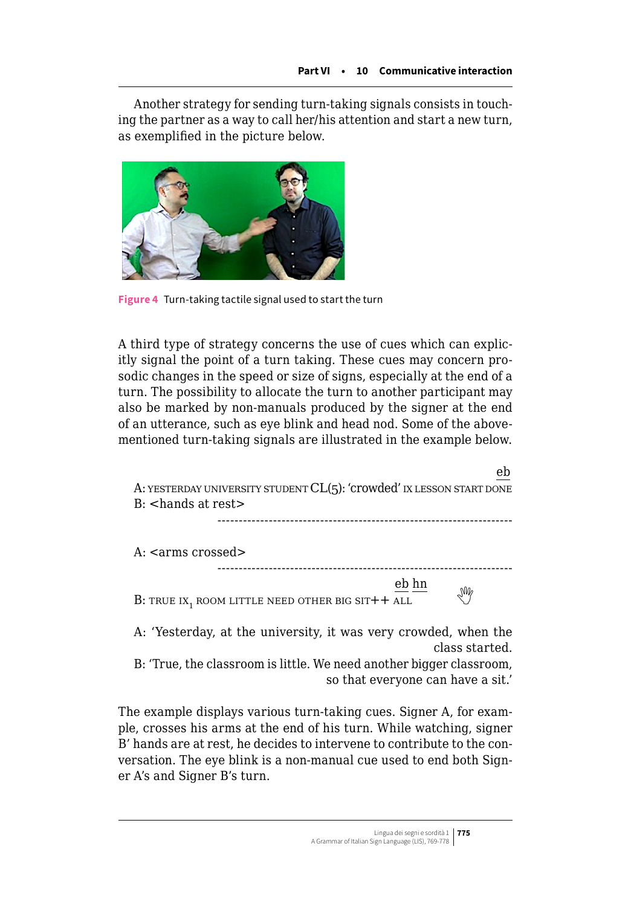Another strategy for sending turn-taking signals consists in touching the partner as a way to call her/his attention and start a new turn, as exemplified in the picture below.



**Figure 4** Turn-taking tactile signal used to start the turn

A third type of strategy concerns the use of cues which can explicitly signal the point of a turn taking. These cues may concern prosodic changes in the speed or size of signs, especially at the end of a turn. The possibility to allocate the turn to another participant may also be marked by non-manuals produced by the signer at the end of an utterance, such as eye blink and head nod. Some of the abovementioned turn-taking signals are illustrated in the example below.

| eb<br>A: YESTERDAY UNIVERSITY STUDENT CL(5): 'Crowded' IX LESSON START DONE       |
|-----------------------------------------------------------------------------------|
| $B:$ $\leq$ hands at rest $\geq$                                                  |
| A: $\leq$ arms crossed $>$                                                        |
| eb hn<br>M                                                                        |
| B: TRUE IX <sub>1</sub> ROOM LITTLE NEED OTHER BIG SIT++ ALL                      |
| A: 'Yesterday, at the university, it was very crowded, when the<br>class started. |

B: 'True, the classroom is little. We need another bigger classroom, so that everyone can have a sit.'

The example displays various turn-taking cues. Signer A, for example, crosses his arms at the end of his turn. While watching, signer B' hands are at rest, he decides to intervene to contribute to the conversation. The eye blink is a non-manual cue used to end both Signer A's and Signer B's turn.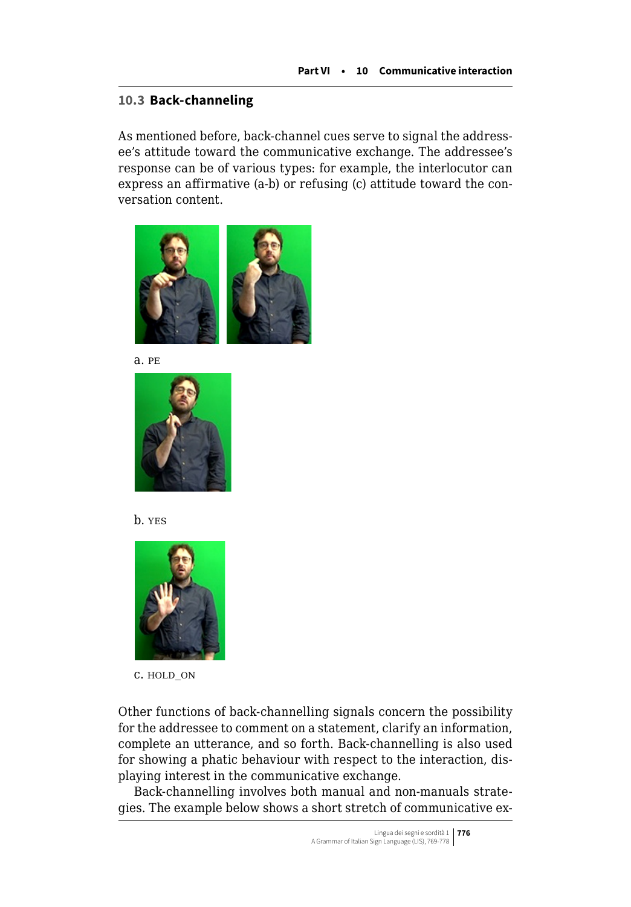### <span id="page-7-0"></span>**10.3 Back-channeling**

As mentioned before, back-channel cues serve to signal the addressee's attitude toward the communicative exchange. The addressee's response can be of various types: for example, the interlocutor can express an affirmative (a-b) or refusing (c) attitude toward the conversation content.



a. pe







c. hold\_on

Other functions of back-channelling signals concern the possibility for the addressee to comment on a statement, clarify an information, complete an utterance, and so forth. Back-channelling is also used for showing a phatic behaviour with respect to the interaction, displaying interest in the communicative exchange.

Back-channelling involves both manual and non-manuals strategies. The example below shows a short stretch of communicative ex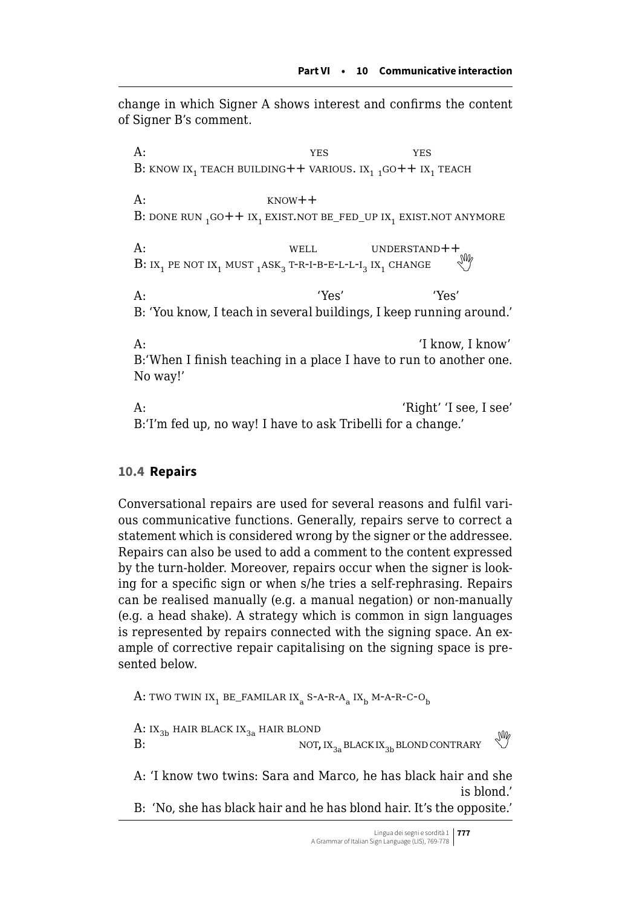<span id="page-8-0"></span>change in which Signer A shows interest and confirms the content of Signer B's comment.

A:  $YES$   $YES$   $YES$ B: KNOW IX<sub>1</sub> TEACH BUILDING +  $+$  VARIOUS. IX<sub>1</sub> 1GO +  $+$  IX<sub>1</sub> TEACH  $A \cdot$  know + + B: DONE RUN  $_1$  GO + + IX<sub>1</sub> EXIST.NOT BE\_FED\_UP IX<sub>1</sub> EXIST.NOT ANYMORE A: well well understand++ **B**:  $IX_1$  pe not  $IX_1$  must  $_1$  ask<sub>3</sub> t-r-i-b-e-l-l-i<sub>3</sub> ix<sub>1</sub> change  $\mathbb{W}$ A: 'Yes' 'Yes' B: 'You know, I teach in several buildings, I keep running around.' A: 'I know, I know' B:'When I finish teaching in a place I have to run to another one. No way!' A: 'Right' 'I see, I see' B:'I'm fed up, no way! I have to ask Tribelli for a change.'

#### **10.4 Repairs**

Conversational repairs are used for several reasons and fulfil various communicative functions. Generally, repairs serve to correct a statement which is considered wrong by the signer or the addressee. Repairs can also be used to add a comment to the content expressed by the turn-holder. Moreover, repairs occur when the signer is looking for a specific sign or when s/he tries a self-rephrasing. Repairs can be realised manually (e.g. a manual negation) or non-manually (e.g. a head shake). A strategy which is common in sign languages is represented by repairs connected with the signing space. An example of corrective repair capitalising on the signing space is presented below.

A: TWO TWIN IX<sub>1</sub> BE\_FAMILAR IX<sub>2</sub> S-A-R-A<sub>3</sub> IX<sub>b</sub> M-A-R-C-O<sub>b</sub>

A:  $IX_{3b}$  hair black  $IX_{3a}$  hair blond<br>B: NOT,  $IX_{3a}$  BLACK  $IX_{3b}$  BLOND CONTRARY

A: 'I know two twins: Sara and Marco, he has black hair and she is blond.'

B: 'No, she has black hair and he has blond hair. It's the opposite.'